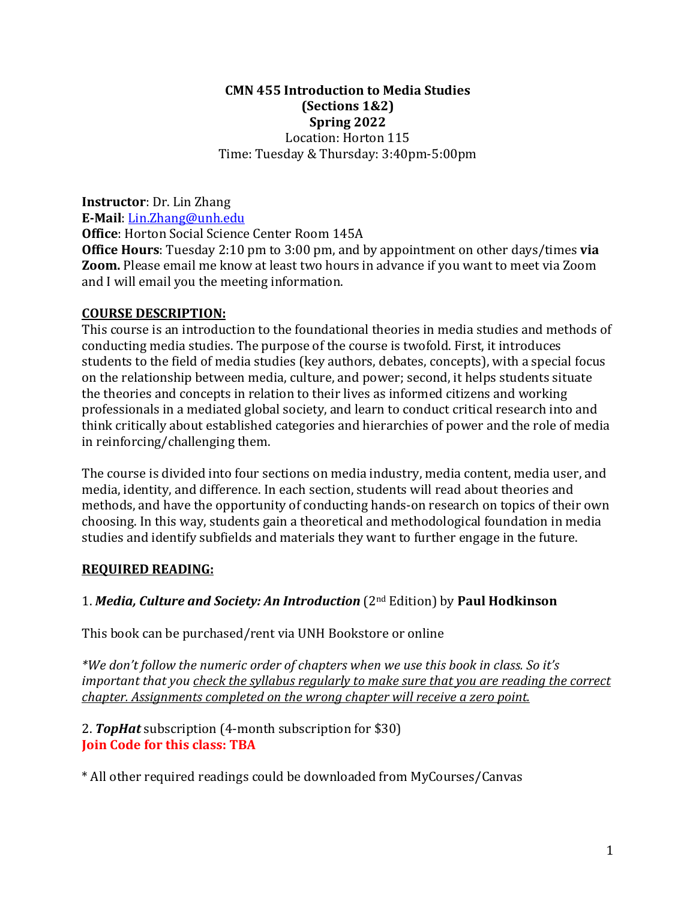### **CMN 455 Introduction to Media Studies (Sections 1&2) Spring 2022** Location: Horton 115 Time: Tuesday & Thursday: 3:40pm-5:00pm

**Instructor**: Dr. Lin Zhang **E-Mail**: Lin.Zhang@unh.edu

**Office:** Horton Social Science Center Room 145A

**Office Hours**: Tuesday 2:10 pm to 3:00 pm, and by appointment on other days/times **via Zoom.** Please email me know at least two hours in advance if you want to meet via Zoom and I will email you the meeting information.

### **COURSE DESCRIPTION:**

This course is an introduction to the foundational theories in media studies and methods of conducting media studies. The purpose of the course is twofold. First, it introduces students to the field of media studies (key authors, debates, concepts), with a special focus on the relationship between media, culture, and power; second, it helps students situate the theories and concepts in relation to their lives as informed citizens and working professionals in a mediated global society, and learn to conduct critical research into and think critically about established categories and hierarchies of power and the role of media in reinforcing/challenging them.

The course is divided into four sections on media industry, media content, media user, and media, identity, and difference. In each section, students will read about theories and methods, and have the opportunity of conducting hands-on research on topics of their own choosing. In this way, students gain a theoretical and methodological foundation in media studies and identify subfields and materials they want to further engage in the future.

### **REQUIRED READING:**

### 1. *Media, Culture and Society: An Introduction* (2<sup>nd</sup> Edition) by Paul Hodkinson

This book can be purchased/rent via UNH Bookstore or online

*\*We don't follow the numeric order of chapters when we use this book in class. So it's important that you check the syllabus regularly to make sure that you are reading the correct chapter. Assignments completed on the wrong chapter will receive a zero point.* 

2. **TopHat** subscription (4-month subscription for \$30) **Join Code for this class: TBA** 

\* All other required readings could be downloaded from MyCourses/Canvas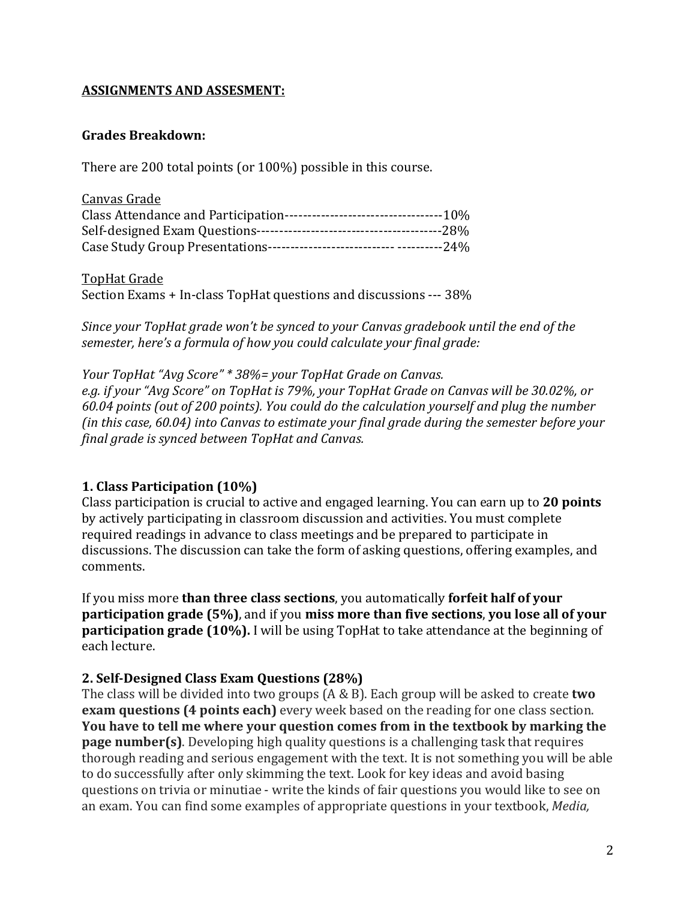### **ASSIGNMENTS AND ASSESMENT:**

#### **Grades Breakdown:**

There are 200 total points (or  $100\%$ ) possible in this course.

| Canvas Grade |  |
|--------------|--|
|              |  |
|              |  |
|              |  |

**TopHat Grade** 

Section Exams + In-class TopHat questions and discussions --- 38%

*Since your TopHat grade won't be synced to your Canvas gradebook until the end of the* semester, here's a formula of how you could calculate your final grade:

*Your TopHat "Avg Score"*  $*$  38%= your TopHat Grade on Canvas. e.g. if your "Avg Score" on TopHat is 79%, your TopHat Grade on Canvas will be 30.02%, or *60.04 points (out of 200 points). You could do the calculation yourself and plug the number (in this case, 60.04) into Canvas to estimate your final grade during the semester before your final grade is synced between TopHat and Canvas.* 

#### **1. Class Participation (10%)**

Class participation is crucial to active and engaged learning. You can earn up to 20 points by actively participating in classroom discussion and activities. You must complete required readings in advance to class meetings and be prepared to participate in discussions. The discussion can take the form of asking questions, offering examples, and comments.

If you miss more **than three class sections**, you automatically **forfeit half of your participation grade (5%)**, and if you **miss more than five sections**, **you lose all of your participation grade (10%).** I will be using TopHat to take attendance at the beginning of each lecture. 

#### **2. Self-Designed Class Exam Questions (28%)**

The class will be divided into two groups (A & B). Each group will be asked to create **two exam questions (4 points each)** every week based on the reading for one class section. **You have to tell me where your question comes from in the textbook by marking the page number(s)**. Developing high quality questions is a challenging task that requires thorough reading and serious engagement with the text. It is not something you will be able to do successfully after only skimming the text. Look for key ideas and avoid basing questions on trivia or minutiae - write the kinds of fair questions you would like to see on an exam. You can find some examples of appropriate questions in your textbook, *Media*,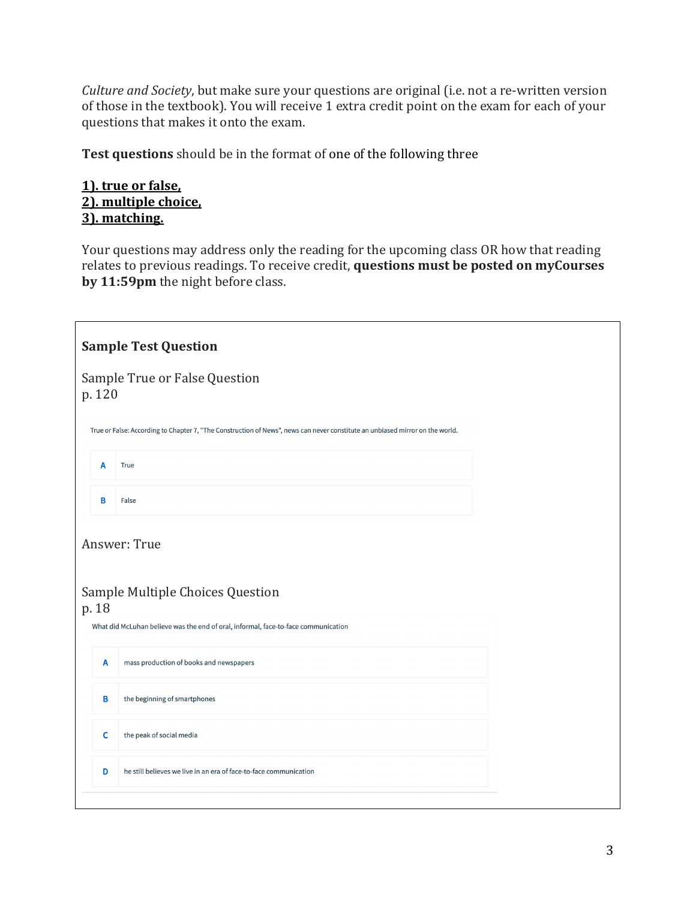*Culture and Society*, but make sure your questions are original (i.e. not a re-written version of those in the textbook). You will receive 1 extra credit point on the exam for each of your questions that makes it onto the exam.

Test questions should be in the format of one of the following three

### **1).** true or false, 2). multiple choice, **3). matching.**

Your questions may address only the reading for the upcoming class OR how that reading relates to previous readings. To receive credit, questions must be posted on myCourses by 11:59pm the night before class.

|                                                                                                                               |             | <b>Sample Test Question</b>                                       |  |  |  |  |  |
|-------------------------------------------------------------------------------------------------------------------------------|-------------|-------------------------------------------------------------------|--|--|--|--|--|
| Sample True or False Question<br>p. 120                                                                                       |             |                                                                   |  |  |  |  |  |
| True or False: According to Chapter 7, "The Construction of News", news can never constitute an unbiased mirror on the world. |             |                                                                   |  |  |  |  |  |
|                                                                                                                               | A           | True                                                              |  |  |  |  |  |
|                                                                                                                               | В           | False                                                             |  |  |  |  |  |
| Answer: True<br>Sample Multiple Choices Question                                                                              |             |                                                                   |  |  |  |  |  |
| p. 18<br>What did McLuhan believe was the end of oral, informal, face-to-face communication                                   |             |                                                                   |  |  |  |  |  |
|                                                                                                                               | A           | mass production of books and newspapers                           |  |  |  |  |  |
|                                                                                                                               | В           | the beginning of smartphones                                      |  |  |  |  |  |
|                                                                                                                               | $\mathbf c$ | the peak of social media                                          |  |  |  |  |  |
|                                                                                                                               | D           | he still believes we live in an era of face-to-face communication |  |  |  |  |  |
|                                                                                                                               |             |                                                                   |  |  |  |  |  |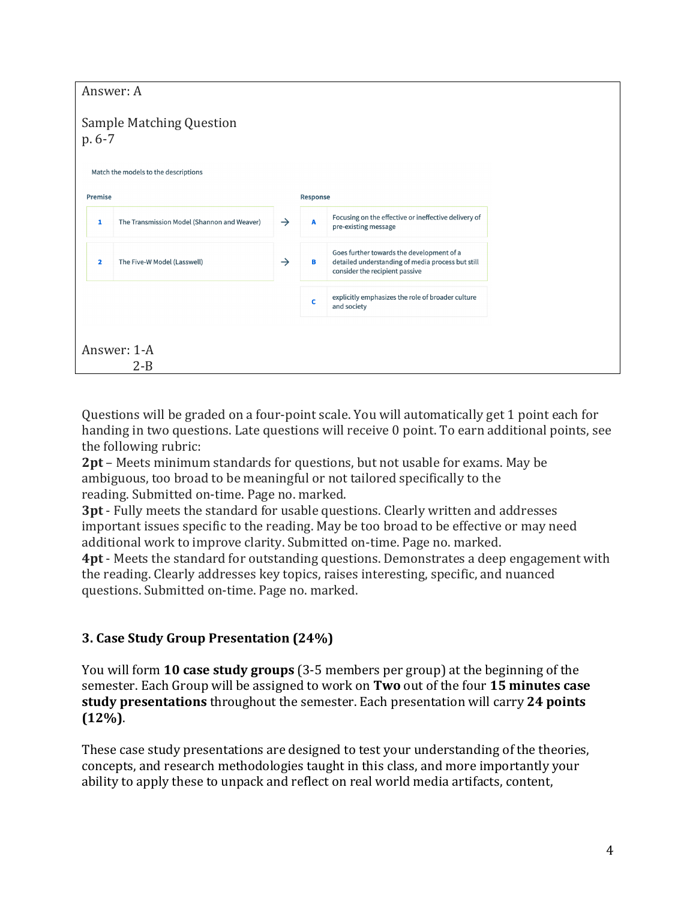| Answer: A                                    |                                             |               |   |                                                                                                                                  |  |  |
|----------------------------------------------|---------------------------------------------|---------------|---|----------------------------------------------------------------------------------------------------------------------------------|--|--|
| <b>Sample Matching Question</b><br>$p.6 - 7$ |                                             |               |   |                                                                                                                                  |  |  |
| Match the models to the descriptions         |                                             |               |   |                                                                                                                                  |  |  |
| Premise                                      |                                             | Response      |   |                                                                                                                                  |  |  |
| 1                                            | The Transmission Model (Shannon and Weaver) | $\rightarrow$ | A | Focusing on the effective or ineffective delivery of<br>pre-existing message                                                     |  |  |
| $\overline{\mathbf{2}}$                      | The Five-W Model (Lasswell)                 | $\rightarrow$ | в | Goes further towards the development of a<br>detailed understanding of media process but still<br>consider the recipient passive |  |  |
|                                              |                                             |               | c | explicitly emphasizes the role of broader culture<br>and society                                                                 |  |  |
| Answer: 1-A<br>$2 - B$                       |                                             |               |   |                                                                                                                                  |  |  |

Questions will be graded on a four-point scale. You will automatically get 1 point each for handing in two questions. Late questions will receive 0 point. To earn additional points, see the following rubric:

**2pt** – Meets minimum standards for questions, but not usable for exams. May be ambiguous, too broad to be meaningful or not tailored specifically to the reading. Submitted on-time. Page no. marked.

**3pt** - Fully meets the standard for usable questions. Clearly written and addresses important issues specific to the reading. May be too broad to be effective or may need additional work to improve clarity. Submitted on-time. Page no. marked.

**4pt** - Meets the standard for outstanding questions. Demonstrates a deep engagement with the reading. Clearly addresses key topics, raises interesting, specific, and nuanced questions. Submitted on-time. Page no. marked.

### **3. Case Study Group Presentation (24%)**

You will form **10 case study groups** (3-5 members per group) at the beginning of the semester. Each Group will be assigned to work on Two out of the four 15 minutes case **study presentations** throughout the semester. Each presentation will carry 24 points **(12%)**. 

These case study presentations are designed to test your understanding of the theories, concepts, and research methodologies taught in this class, and more importantly your ability to apply these to unpack and reflect on real world media artifacts, content,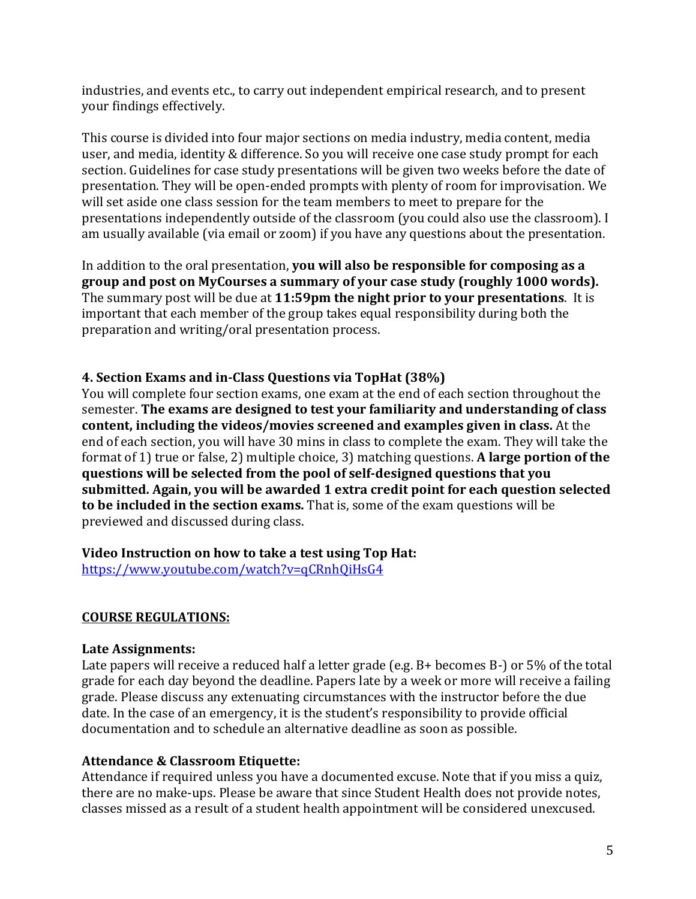industries, and events etc., to carry out independent empirical research, and to present your findings effectively.

This course is divided into four major sections on media industry, media content, media user, and media, identity & difference. So you will receive one case study prompt for each section. Guidelines for case study presentations will be given two weeks before the date of presentation. They will be open-ended prompts with plenty of room for improvisation. We will set aside one class session for the team members to meet to prepare for the presentations independently outside of the classroom (you could also use the classroom). I am usually available (via email or zoom) if you have any questions about the presentation.

In addition to the oral presentation, **you will also be responsible for composing as a** group and post on MyCourses a summary of your case study (roughly 1000 words). The summary post will be due at 11:59pm the night prior to your presentations. It is important that each member of the group takes equal responsibility during both the preparation and writing/oral presentation process.

### **4. Section Exams and in-Class Questions via TopHat (38%)**

You will complete four section exams, one exam at the end of each section throughout the semester. The exams are designed to test your familiarity and understanding of class **content, including the videos/movies screened and examples given in class.** At the end of each section, you will have 30 mins in class to complete the exam. They will take the format of 1) true or false, 2) multiple choice, 3) matching questions. A large portion of the questions will be selected from the pool of self-designed questions that you submitted. Again, you will be awarded 1 extra credit point for each question selected **to be included in the section exams.** That is, some of the exam questions will be previewed and discussed during class.

#### **Video Instruction on how to take a test using Top Hat:**

https://www.youtube.com/watch?v=qCRnhQiHsG4

### **COURSE REGULATIONS:**

#### **Late Assignments:**

Late papers will receive a reduced half a letter grade (e.g.  $B+$  becomes  $B-$ ) or 5% of the total grade for each day beyond the deadline. Papers late by a week or more will receive a failing grade. Please discuss any extenuating circumstances with the instructor before the due date. In the case of an emergency, it is the student's responsibility to provide official documentation and to schedule an alternative deadline as soon as possible.

### **Attendance & Classroom Etiquette:**

Attendance if required unless you have a documented excuse. Note that if you miss a quiz, there are no make-ups. Please be aware that since Student Health does not provide notes, classes missed as a result of a student health appointment will be considered unexcused.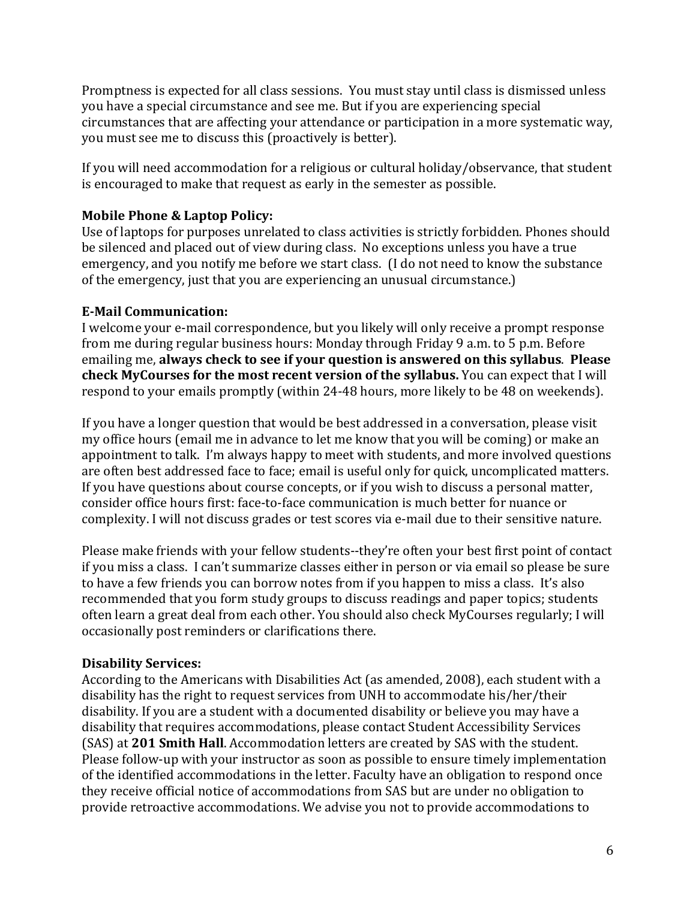Promptness is expected for all class sessions. You must stay until class is dismissed unless you have a special circumstance and see me. But if you are experiencing special circumstances that are affecting your attendance or participation in a more systematic way, you must see me to discuss this (proactively is better).

If you will need accommodation for a religious or cultural holiday/observance, that student is encouraged to make that request as early in the semester as possible.

### **Mobile Phone & Laptop Policy:**

Use of laptops for purposes unrelated to class activities is strictly forbidden. Phones should be silenced and placed out of view during class. No exceptions unless you have a true emergency, and you notify me before we start class. (I do not need to know the substance of the emergency, just that you are experiencing an unusual circumstance.)

### **E-Mail Communication:**

I welcome your e-mail correspondence, but you likely will only receive a prompt response from me during regular business hours: Monday through Friday 9 a.m. to 5 p.m. Before emailing me, always check to see if your question is answered on this syllabus. Please **check MyCourses for the most recent version of the syllabus.** You can expect that I will respond to your emails promptly (within 24-48 hours, more likely to be 48 on weekends).

If you have a longer question that would be best addressed in a conversation, please visit my office hours (email me in advance to let me know that you will be coming) or make an appointment to talk. I'm always happy to meet with students, and more involved questions are often best addressed face to face; email is useful only for quick, uncomplicated matters. If you have questions about course concepts, or if you wish to discuss a personal matter, consider office hours first: face-to-face communication is much better for nuance or complexity. I will not discuss grades or test scores via e-mail due to their sensitive nature.

Please make friends with your fellow students--they're often your best first point of contact if you miss a class. I can't summarize classes either in person or via email so please be sure to have a few friends you can borrow notes from if you happen to miss a class. It's also recommended that you form study groups to discuss readings and paper topics; students often learn a great deal from each other. You should also check MyCourses regularly; I will occasionally post reminders or clarifications there.

#### **Disability Services:**

According to the Americans with Disabilities Act (as amended, 2008), each student with a disability has the right to request services from UNH to accommodate his/her/their disability. If you are a student with a documented disability or believe you may have a disability that requires accommodations, please contact Student Accessibility Services (SAS) at 201 Smith Hall. Accommodation letters are created by SAS with the student. Please follow-up with your instructor as soon as possible to ensure timely implementation of the identified accommodations in the letter. Faculty have an obligation to respond once they receive official notice of accommodations from SAS but are under no obligation to provide retroactive accommodations. We advise you not to provide accommodations to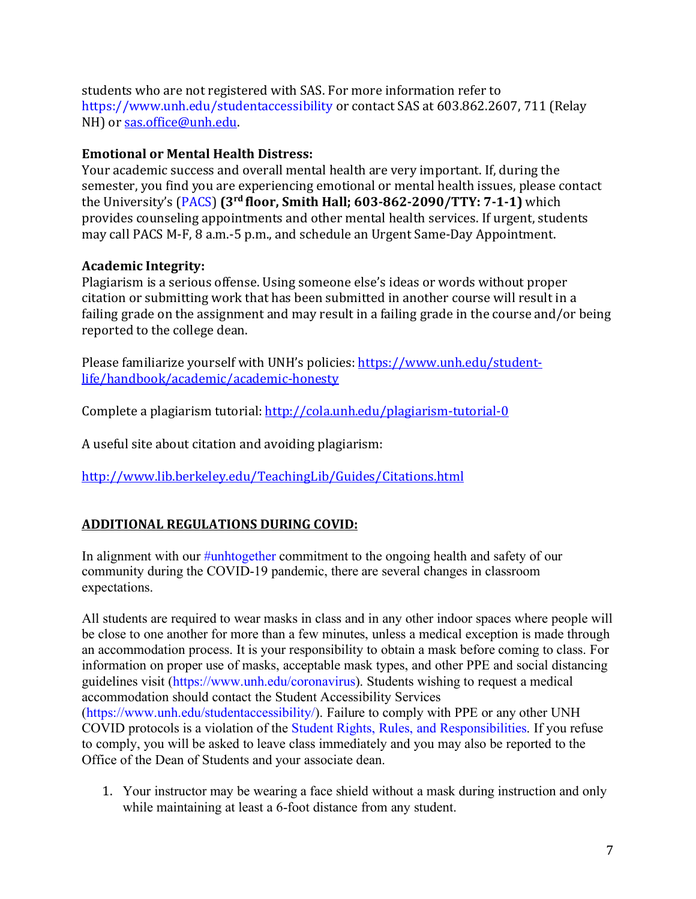students who are not registered with SAS. For more information refer to https://www.unh.edu/studentaccessibility or contact SAS at 603.862.2607, 711 (Relay NH) or sas.office@unh.edu.

## **Emotional or Mental Health Distress:**

Your academic success and overall mental health are very important. If, during the semester, you find you are experiencing emotional or mental health issues, please contact the University's (PACS) (3<sup>rd</sup> floor, Smith Hall; 603-862-2090/TTY: 7-1-1) which provides counseling appointments and other mental health services. If urgent, students may call PACS M-F, 8 a.m.-5 p.m., and schedule an Urgent Same-Day Appointment.

# **Academic Integrity:**

Plagiarism is a serious offense. Using someone else's ideas or words without proper citation or submitting work that has been submitted in another course will result in a failing grade on the assignment and may result in a failing grade in the course and/or being reported to the college dean.

Please familiarize yourself with UNH's policies: https://www.unh.edu/studentlife/handbook/academic/academic-honesty

Complete a plagiarism tutorial: http://cola.unh.edu/plagiarism-tutorial-0

A useful site about citation and avoiding plagiarism:

http://www.lib.berkeley.edu/TeachingLib/Guides/Citations.html

# **ADDITIONAL REGULATIONS DURING COVID:**

In alignment with our #unhtogether commitment to the ongoing health and safety of our community during the COVID-19 pandemic, there are several changes in classroom expectations.

All students are required to wear masks in class and in any other indoor spaces where people will be close to one another for more than a few minutes, unless a medical exception is made through an accommodation process. It is your responsibility to obtain a mask before coming to class. For information on proper use of masks, acceptable mask types, and other PPE and social distancing guidelines visit (https://www.unh.edu/coronavirus). Students wishing to request a medical accommodation should contact the Student Accessibility Services (https://www.unh.edu/studentaccessibility/). Failure to comply with PPE or any other UNH COVID protocols is a violation of the Student Rights, Rules, and Responsibilities. If you refuse to comply, you will be asked to leave class immediately and you may also be reported to the Office of the Dean of Students and your associate dean.

1. Your instructor may be wearing a face shield without a mask during instruction and only while maintaining at least a 6-foot distance from any student.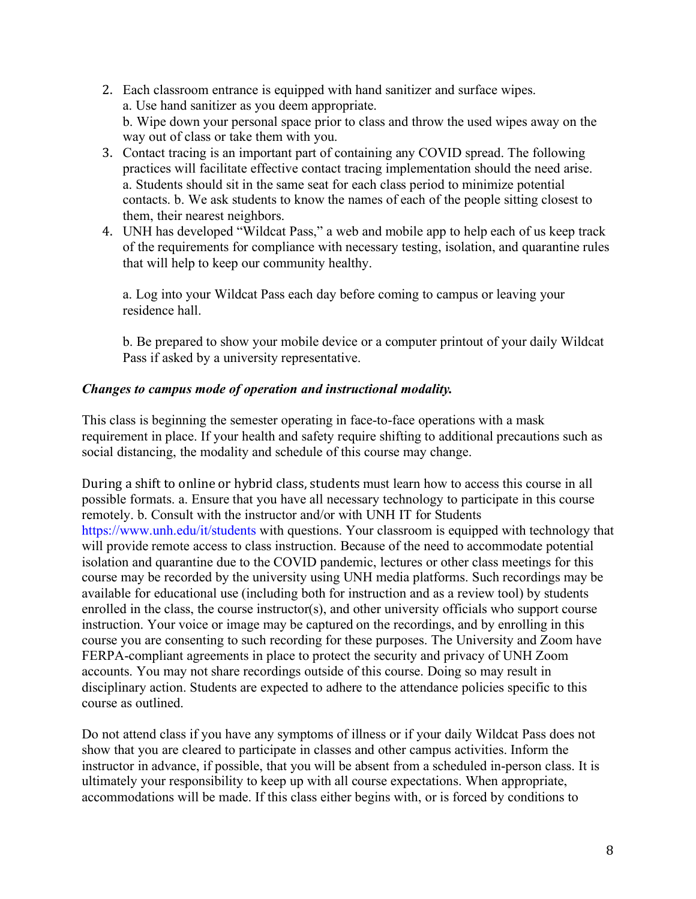- 2. Each classroom entrance is equipped with hand sanitizer and surface wipes. a. Use hand sanitizer as you deem appropriate. b. Wipe down your personal space prior to class and throw the used wipes away on the way out of class or take them with you.
- 3. Contact tracing is an important part of containing any COVID spread. The following practices will facilitate effective contact tracing implementation should the need arise. a. Students should sit in the same seat for each class period to minimize potential contacts. b. We ask students to know the names of each of the people sitting closest to them, their nearest neighbors.
- 4. UNH has developed "Wildcat Pass," a web and mobile app to help each of us keep track of the requirements for compliance with necessary testing, isolation, and quarantine rules that will help to keep our community healthy.

a. Log into your Wildcat Pass each day before coming to campus or leaving your residence hall.

b. Be prepared to show your mobile device or a computer printout of your daily Wildcat Pass if asked by a university representative.

#### *Changes to campus mode of operation and instructional modality.*

This class is beginning the semester operating in face-to-face operations with a mask requirement in place. If your health and safety require shifting to additional precautions such as social distancing, the modality and schedule of this course may change.

During a shift to online or hybrid class, students must learn how to access this course in all possible formats. a. Ensure that you have all necessary technology to participate in this course remotely. b. Consult with the instructor and/or with UNH IT for Students https://www.unh.edu/it/students with questions. Your classroom is equipped with technology that will provide remote access to class instruction. Because of the need to accommodate potential isolation and quarantine due to the COVID pandemic, lectures or other class meetings for this course may be recorded by the university using UNH media platforms. Such recordings may be available for educational use (including both for instruction and as a review tool) by students enrolled in the class, the course instructor(s), and other university officials who support course instruction. Your voice or image may be captured on the recordings, and by enrolling in this course you are consenting to such recording for these purposes. The University and Zoom have FERPA-compliant agreements in place to protect the security and privacy of UNH Zoom accounts. You may not share recordings outside of this course. Doing so may result in disciplinary action. Students are expected to adhere to the attendance policies specific to this course as outlined.

Do not attend class if you have any symptoms of illness or if your daily Wildcat Pass does not show that you are cleared to participate in classes and other campus activities. Inform the instructor in advance, if possible, that you will be absent from a scheduled in-person class. It is ultimately your responsibility to keep up with all course expectations. When appropriate, accommodations will be made. If this class either begins with, or is forced by conditions to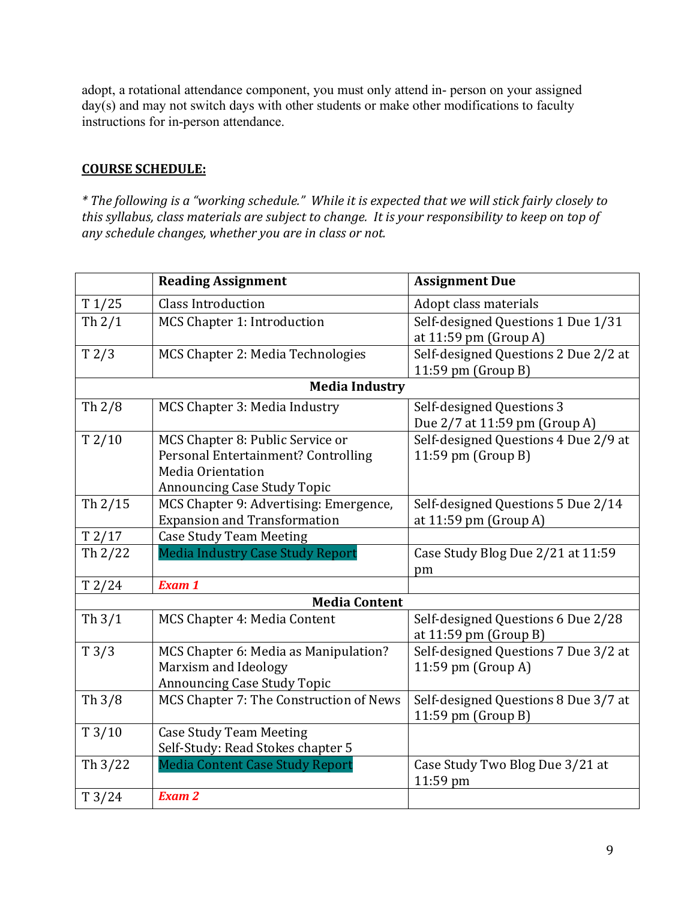adopt, a rotational attendance component, you must only attend in- person on your assigned day(s) and may not switch days with other students or make other modifications to faculty instructions for in-person attendance.

#### **COURSE SCHEDULE:**

*\* The following is a "working schedule." While it is expected that we will stick fairly closely to this syllabus, class materials are subject to change. It is your responsibility to keep on top of any schedule changes, whether you are in class or not.*

|                       | <b>Reading Assignment</b>                                                                                                          | <b>Assignment Due</b>                                        |  |  |  |  |  |
|-----------------------|------------------------------------------------------------------------------------------------------------------------------------|--------------------------------------------------------------|--|--|--|--|--|
| T1/25                 | <b>Class Introduction</b>                                                                                                          | Adopt class materials                                        |  |  |  |  |  |
| Th $2/1$              | MCS Chapter 1: Introduction                                                                                                        | Self-designed Questions 1 Due 1/31<br>at 11:59 pm (Group A)  |  |  |  |  |  |
| T2/3                  | MCS Chapter 2: Media Technologies                                                                                                  | Self-designed Questions 2 Due 2/2 at<br>11:59 pm (Group B)   |  |  |  |  |  |
| <b>Media Industry</b> |                                                                                                                                    |                                                              |  |  |  |  |  |
| Th $2/8$              | MCS Chapter 3: Media Industry                                                                                                      | Self-designed Questions 3<br>Due 2/7 at 11:59 pm (Group A)   |  |  |  |  |  |
| T2/10                 | MCS Chapter 8: Public Service or<br>Personal Entertainment? Controlling<br>Media Orientation<br><b>Announcing Case Study Topic</b> | Self-designed Questions 4 Due 2/9 at<br>11:59 pm (Group B)   |  |  |  |  |  |
| Th $2/15$             | MCS Chapter 9: Advertising: Emergence,<br><b>Expansion and Transformation</b>                                                      | Self-designed Questions 5 Due 2/14<br>at 11:59 pm (Group A)  |  |  |  |  |  |
| T2/17                 | <b>Case Study Team Meeting</b>                                                                                                     |                                                              |  |  |  |  |  |
| Th 2/22               | <b>Media Industry Case Study Report</b>                                                                                            | Case Study Blog Due 2/21 at 11:59<br>pm                      |  |  |  |  |  |
| T2/24                 | <b>Exam 1</b>                                                                                                                      |                                                              |  |  |  |  |  |
|                       | <b>Media Content</b>                                                                                                               |                                                              |  |  |  |  |  |
| Th $3/1$              | MCS Chapter 4: Media Content                                                                                                       | Self-designed Questions 6 Due 2/28<br>at 11:59 pm (Group B)  |  |  |  |  |  |
| T3/3                  | MCS Chapter 6: Media as Manipulation?<br>Marxism and Ideology<br><b>Announcing Case Study Topic</b>                                | Self-designed Questions 7 Due 3/2 at<br>11:59 pm (Group A)   |  |  |  |  |  |
| Th $3/8$              | MCS Chapter 7: The Construction of News                                                                                            | Self-designed Questions 8 Due 3/7 at<br>$11:59$ pm (Group B) |  |  |  |  |  |
| T3/10                 | <b>Case Study Team Meeting</b><br>Self-Study: Read Stokes chapter 5                                                                |                                                              |  |  |  |  |  |
| Th $3/22$             | <b>Media Content Case Study Report</b>                                                                                             | Case Study Two Blog Due 3/21 at<br>11:59 pm                  |  |  |  |  |  |
| T3/24                 | <b>Exam 2</b>                                                                                                                      |                                                              |  |  |  |  |  |